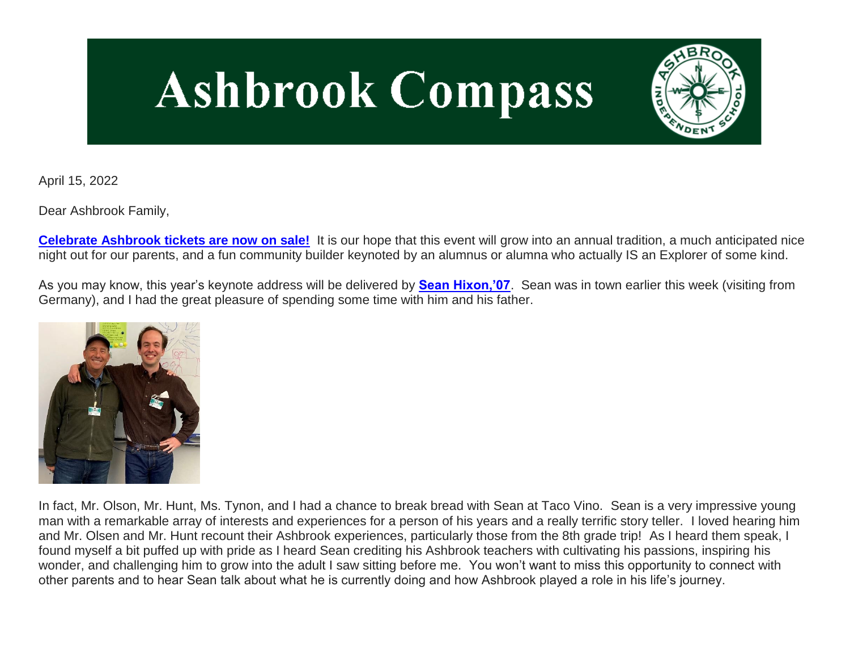# **Ashbrook Compass**



April 15, 2022

Dear Ashbrook Family,

**[Celebrate Ashbrook tickets are now on sale!](http://link.mystudentsprogress.com/ls/click?upn=VpBe6Z9t6RkEC4qAoQCerk1MbcTpg79ksNOHDT3bQMM-3D4Svl_1PndbFfBoQGSZbxwXHHEexw3B2F0fG-2BUmuXm6a-2BX-2BztqU9j2KkomrTCB87tjC-2B3N1w-2BcgUKhw85-2FVCwPT257LrWy9cRd0i6LLSpBI-2FBF3Sw7xl9pejT6lCoNi5iTXCnEkTCfU2dUyaJ79EMuVN-2FLU3ozQRwBikZQoQJVqrgHoG3g2oekhVQEuYrKRYqzyCBYlEPN-2FY7XlbeFubLae8esCKaEaJ8ZoqAyc5bMGevAx0GxmxmTsdsIBWAM9DjhDNV-2FZmNX-2BDdgkPcNwcgiMIyp7utLSSbSk6hmKLCkLqnrT-2B-2Fdoq6TDvigGo3XgO30IDk2-2FKCCSxiZywnnVFd8jXmix0zMtWE4-2BQ2x4Jua8YaPkbC-2F9w5VSxb-2BPmZmwdnuji1hnEQM86H3dXNk4l2lucGkZX4kmo4pcevjmNOq1Wjfbk9If0HJEMXeBw5QfDB2wIJX)** It is our hope that this event will grow into an annual tradition, a much anticipated nice night out for our parents, and a fun community builder keynoted by an alumnus or alumna who actually IS an Explorer of some kind.

As you may know, this year's keynote address will be delivered by **[Sean Hixon,'07](http://link.mystudentsprogress.com/ls/click?upn=5XDbAd9r0ovG7GZusFBG8PaUF78UqItDelTGdwk7Y5YVHPL1lqCP2oHiaZtUu1dlhoeh_1PndbFfBoQGSZbxwXHHEexw3B2F0fG-2BUmuXm6a-2BX-2BztqU9j2KkomrTCB87tjC-2B3N1w-2BcgUKhw85-2FVCwPT257LuL2ns-2BYm7fDrA46b532mans6vd-2BxgDuBeyqcay9GPzR-2BOhIfRc7KkTMdSqO1A5mLzUzAoYtvKd32wQ8Y6vGrcp8SfhRnjGVh11gdR6iQpMhKNe8LNQJgNxJGttOWraXywsnLB5Jp4GvqYcbsXgoqJ0BDQS09LMDoa99GG-2BvVn0EsguZrEt7wEqIAIMH-2F0UXqFwNsHw4la2cLtHMFgFwBsdWWIp8WB0lCtLfSbQ-2B3VEsstQopz-2F1CKpdKXG0fvyYsWWPF6MmNw1hVRCcQyU-2FRCgIiflty7KuCGR4pPRKUurjl0RMgJ662m4FMmsRQKBfnWsjGgGKm1m-2Fs052pwwy9xV0L893tqbsNjxkWivMdtoA)**. Sean was in town earlier this week (visiting from Germany), and I had the great pleasure of spending some time with him and his father.



In fact, Mr. Olson, Mr. Hunt, Ms. Tynon, and I had a chance to break bread with Sean at Taco Vino. Sean is a very impressive young man with a remarkable array of interests and experiences for a person of his years and a really terrific story teller. I loved hearing him and Mr. Olsen and Mr. Hunt recount their Ashbrook experiences, particularly those from the 8th grade trip! As I heard them speak, I found myself a bit puffed up with pride as I heard Sean crediting his Ashbrook teachers with cultivating his passions, inspiring his wonder, and challenging him to grow into the adult I saw sitting before me. You won't want to miss this opportunity to connect with other parents and to hear Sean talk about what he is currently doing and how Ashbrook played a role in his life's journey.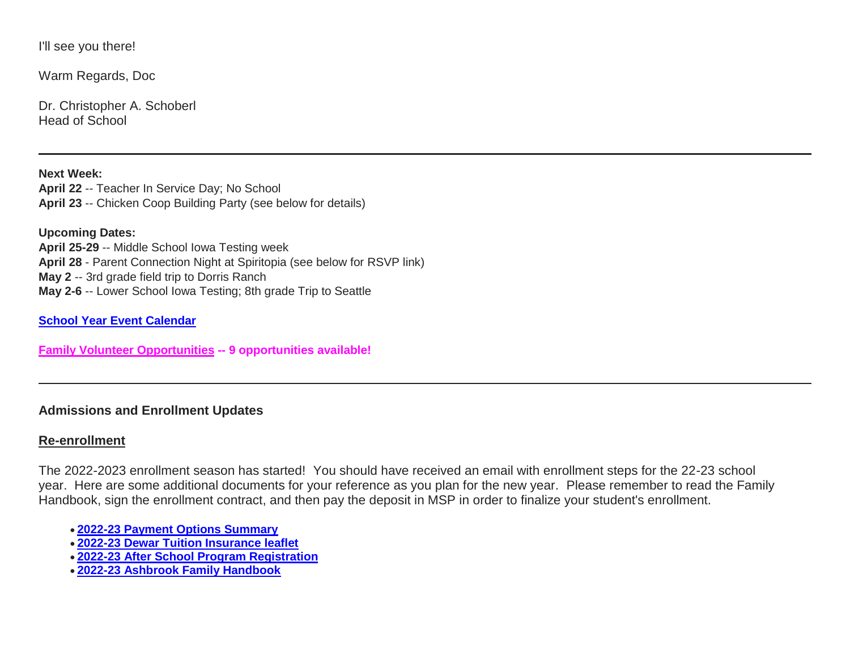I'll see you there!

Warm Regards, Doc

Dr. Christopher A. Schoberl Head of School

**Next Week: April 22** -- Teacher In Service Day; No School **April 23** -- Chicken Coop Building Party (see below for details)

**Upcoming Dates: April 25-29** -- Middle School Iowa Testing week **April 28** - Parent Connection Night at Spiritopia (see below for RSVP link) **May 2** -- 3rd grade field trip to Dorris Ranch **May 2-6** -- Lower School Iowa Testing; 8th grade Trip to Seattle

**[School Year Event Calendar](http://link.mystudentsprogress.com/ls/click?upn=n7jYKe39nC4PrVAw2BzaOolgU5XUleaJ61qfvNJxTW3uoi8RFzNYUfSc1qXdqajA34djZWrxIBJBxzp2whbybvqIYp3dDOkCDgKesziBdCm1u7J5UB6bwQicng-2BhFj8jm5vDG0tBEB0sO-2FO3RXilW8Csk5oOSfGUUXvh5WSdqhvDojIY5znyF-2BOYIJP1WK6Bvlrc_1PndbFfBoQGSZbxwXHHEexw3B2F0fG-2BUmuXm6a-2BX-2BztqU9j2KkomrTCB87tjC-2B3N1w-2BcgUKhw85-2FVCwPT257LvvmwtSqdR35hlCbALBxKoB-2FeCghzdfGU47o0Q1Ezrc2s3zMUPB5cnUxlX3LbMhCqrDpUAzUQ99tUL9kE-2Ftaa3niO8HRyDALWM0RfUujAn2LWVV6X6tXZZ4WkSPSvt4E-2FoG71g1N2WY9XDZ-2FxkVwnHwrhEuAOhb-2BiTzbFedjR7Q6k-2F-2BgtUzhH9zRIMY8T-2FK-2BiWHv812OzMIPOLoTAG0Xw1vrmPdq9OcDGMyCEYj2LI1ksB8BxGC9TIqQWGvWekZPxpnwKUJDGPwxeScStAuljqYNmIbsLeKqShP12Ix8oxrDT5tD4jszNf5PnVaEE7n7g9Hr1ec2tBF96fYCmbndK78zteyKCT9wbClcK5WQwbA0)**

**[Family Volunteer Opportunities](http://link.mystudentsprogress.com/ls/click?upn=VpBe6Z9t6RkEC4qAoQCerkRqVNRJCi4SE2bZPjoSvlxSlLFpfnUYhuutAutUGnBh84nj-2BJvhJlx1K1dJMDDqBY1qLZ1O0nCcHebienBZj-2BKxsXBin-2FugM50Q-2FqN8cLG3Urd1ZQzGcMWtkFleXRzacA-3D-3DU-pu_1PndbFfBoQGSZbxwXHHEexw3B2F0fG-2BUmuXm6a-2BX-2BztqU9j2KkomrTCB87tjC-2B3N1w-2BcgUKhw85-2FVCwPT257LkXKJVEa5wpKC5JIrcmZQsMT0jblTQDUNBGiUa3n-2FbVUhotwYCySmD1BqTxopyDrKgNpwBy7yPAlSrAWHP-2B8pDTG0vYXUxs9p2K5ZWauWL-2FollTZKTDlkVv9owzjlcIWVsuS39Jhr82j-2FeDw7w5IXOgCtC4ST6dRy76DSkGa0GUrG1hx23NB6HBa7ANOTbUO1VNif8BqQ1hjmcuX7aYCNm8ivNqtapiWaWhsUy9rxh6DY0lT1TgK93ZiRY3C5gdyARJtSSpt-2F3pCe3nfci5Qn-2BwnNmY03DGxgANxFWxJ0ijz2p1YWlku2hEuemuuL4IUzvjJTAmmVoFIlR3RRq2BN-2BkoY47eCmVis-2F8TXZgPqe6X) -- 9 opportunities available!**

# **Admissions and Enrollment Updates**

# **Re-enrollment**

The 2022-2023 enrollment season has started! You should have received an email with enrollment steps for the 22-23 school year. Here are some additional documents for your reference as you plan for the new year. Please remember to read the Family Handbook, sign the enrollment contract, and then pay the deposit in MSP in order to finalize your student's enrollment.

- **[2022-23 Payment Options Summary](http://link.mystudentsprogress.com/ls/click?upn=n7jYKe39nC4PrVAw2BzaOolgU5XUleaJ61qfvNJxTW3uoi8RFzNYUfSc1qXdqajA34djZWrxIBJBxzp2whbybvqIYp3dDOkCDgKesziBdClkeFpPmgMGrgcxNe5TC96odu91tl93IdUb7rzqL2LYFtC2am-2BBIM47dCls51qjeV0-3DDRS4_1PndbFfBoQGSZbxwXHHEexw3B2F0fG-2BUmuXm6a-2BX-2BztqU9j2KkomrTCB87tjC-2B3N1w-2BcgUKhw85-2FVCwPT257LvFMD0zNoYaaiLKaWvZeIgqIIb8WLkTb-2B6W6Am7Zwa2QynfdTM1O882wlYkwYtd6XGLM1LeI-2BpdvZrFSx7jEBUPMChFtUiM-2F7CldaxZe4pYaFmZ5aRo1ZR1sQqA-2BnGMGRDn5BygpeaA1zfiyIfzgCgqpABTbFA-2BzUAJa6OuAzk5geqCg2lKhuLKWrNWreLm3ACz4rBnZUHCKd-2FApDJXPSAJViChrDiNfFJD004sunXTl-2BoxzAfeHxkF03dFplay8JqdGWgiMV33UntQ-2Bl4RHa-2B2iRYl9OJRPev4O6lYAZdR-2BOrKOI8e69MWwySAGo4E8gRGFAp4C5UYk8d-2F8uKcBKC847szFOK3PIH5zUHcQLDmQ)**
- **[2022-23 Dewar Tuition Insurance leaflet](http://link.mystudentsprogress.com/ls/click?upn=n7jYKe39nC4PrVAw2BzaOolgU5XUleaJ61qfvNJxTW3uoi8RFzNYUfSc1qXdqajA34djZWrxIBJBxzp2whbybvqIYp3dDOkCDgKesziBdCmKv7ixhdviv-2FmwC44NqeRkEpR0EqlRFDbLPP4oUBY3JgS-2BxTIUAg9pOXjNuHrG2gHW4aOlWy1OxP4JzdIN-2FgxfGIHR_1PndbFfBoQGSZbxwXHHEexw3B2F0fG-2BUmuXm6a-2BX-2BztqU9j2KkomrTCB87tjC-2B3N1w-2BcgUKhw85-2FVCwPT257Lv5-2FrzNVgWXwo6Z3r8H5oxNTG6ZWUAUa7OYUoMwFqWUq-2FFmnFv-2FYZhQRmOSJWN1k6ALan5YenCmbFAGgP-2FXJfVzlukt1JteiS0sQOyD0ROKV-2F2xL1lN9ZgCqZkppcKcGc47O3M0mXyLBgnys4wtu6vQR-2FlfmPHUiU1Lpt3gikmnm5FJhFZ1m-2FE7q85GyhookOZYywS0tW3uqvMZ4iJoBNLNwULQadaZUK4xoeJQEsV1rb7moZ4kypP4aPLgFaiQj6-2B8YH4qe3I8Z8HI61qfdYhlXk9cLyS6owmfVup40mJaTyFJNUYeUR6RlplKSRFhpHvZ7eXSaMRs4VjsxR7ekeIxyC0NsItBlpq8dJaXzgbw1)**
- **[2022-23 After School Program Registration](http://link.mystudentsprogress.com/ls/click?upn=n7jYKe39nC4PrVAw2BzaOolgU5XUleaJ61qfvNJxTW3uoi8RFzNYUfSc1qXdqajA34djZWrxIBJBxzp2whbybvqIYp3dDOkCDgKesziBdCk2zoL69EF1elapRVEFs9mzF3f9wmKGKZgVh2d6-2F4A-2BgVLXq8Q8Acmh7jJG-2BzjCzXs-3Df_Z9_1PndbFfBoQGSZbxwXHHEexw3B2F0fG-2BUmuXm6a-2BX-2BztqU9j2KkomrTCB87tjC-2B3N1w-2BcgUKhw85-2FVCwPT257LsovZq2FN-2FBHmrPTf4cxBwS-2BwsxqdDuF7AP66aRwzHTRQ0ctoU0-2FnY4qlTRDhhl-2BK07F275bTDOLXiDzE0pxsd-2Bt80alnJCYM6yVs67PGHd4GzKOzFKYYCl6Bevhejzh5lOA-2Ft7pL2bBR0i33rKBINBOala3G2INLOZltSP7c-2BTH7zOjDym3-2BqsVDS4HD4yh3G0mABr4roZ9SAR1uS4LFDv9pmI39zN-2Bd1ri4EdzxcwOf-2Fq5lXPDGnu18q7KdnWDzqrPr9em8bAdOj8Xo2VjC-2FjOx7l4-2F8nF0RbovIUG-2BYw5CE6roQjc9hKyxEDmij6pWGGg1VomYlGlYaRxO1g4emPC-2B0rjDWgEUMSWLE18iRDv)**
- **[2022-23 Ashbrook Family Handbook](http://link.mystudentsprogress.com/ls/click?upn=n7jYKe39nC4PrVAw2BzaOolgU5XUleaJ61qfvNJxTW3uoi8RFzNYUfSc1qXdqajA34djZWrxIBJBxzp2whbybvqIYp3dDOkCDgKesziBdCm10y3DaewIztvYnTmbtKZrSM7zgMXMbd3vUX54N4ULGmQauK03d1W1q-2BxdA-2FDSbp8-3DRBao_1PndbFfBoQGSZbxwXHHEexw3B2F0fG-2BUmuXm6a-2BX-2BztqU9j2KkomrTCB87tjC-2B3N1w-2BcgUKhw85-2FVCwPT257LnNAyde-2FGngHAAlLbsmW-2BLQkTlslYdWyac7gu-2FGe0Uf6QOAMPs8xb8HR1wvhk2fXqswgeE-2BufQVekOMrvYPGHcogSNi6-2FDcIucb-2F2zFXHe9qlfwz0RUN3j1cXUSgHZ4ujDZtI-2Bq8F5-2FH5b8mj54SYqel7HNHSNUSRfIcI69jq-2FsR5xoM8j-2Fm3XbV3G63H8CvlRYOoIXbagydecyfQVPAb8cLxQ8eaDtKpleIP9gOJh6muPTu3mIocD6meA1Yy64N9f-2FT-2FwVGfDlRNk3I8qxOI0jpvZTHyyhYGAlDc7HBBHDAznJn-2Fq-2BanUVBtGEXzTBGsKrakOTr2EJpJUgjCcNzx-2FmAvZUP0jB5Z0YwC5lujE2B)**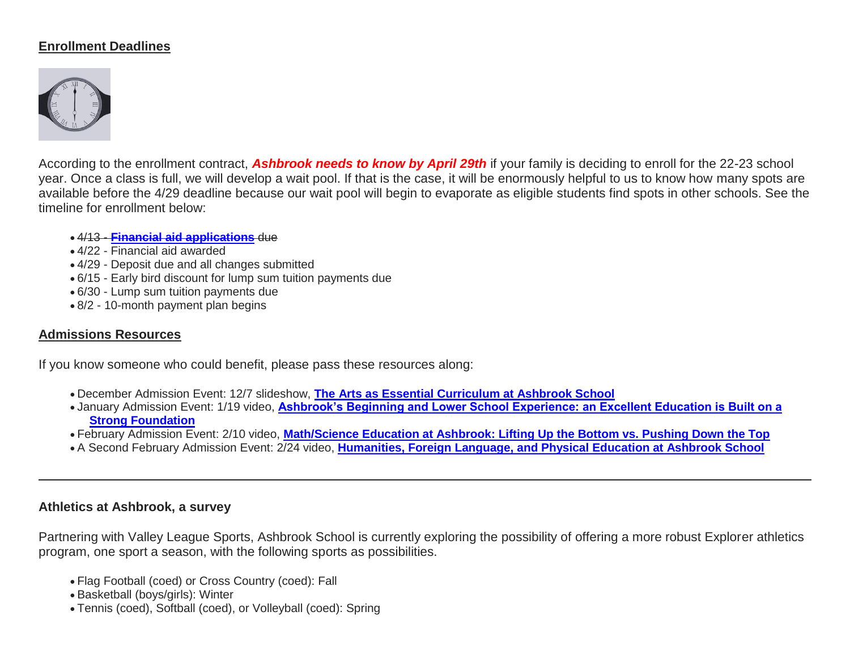# **Enrollment Deadlines**



According to the enrollment contract, *Ashbrook needs to know by April 29th* if your family is deciding to enroll for the 22-23 school year. Once a class is full, we will develop a wait pool. If that is the case, it will be enormously helpful to us to know how many spots are available before the 4/29 deadline because our wait pool will begin to evaporate as eligible students find spots in other schools. See the timeline for enrollment below:

#### 4/13 - **[Financial aid applications](http://link.mystudentsprogress.com/ls/click?upn=9NFJldv80hP-2FMIbgvz91YTw-2FPeGAX3zaZ-2B6BOjUQoz1zpnNqwRVnkmgZdHIWb6xcQcrw_1PndbFfBoQGSZbxwXHHEexw3B2F0fG-2BUmuXm6a-2BX-2BztqU9j2KkomrTCB87tjC-2B3N1w-2BcgUKhw85-2FVCwPT257LlT-2B6SNHfPunzdpLaDhCZV04ZFdqcTiVqnSe7ygHeG7qNP67iNh1dZj4TEnG5inofvvB-2FN7owbAvkuvdbJg9SbmLAIN397qbcy1cCMFR3ZwFvkyiOgog3eRK7DwDsOM56N1IGk1u5jm9tgfXvIZ-2FNiFusfhYfe6EXS7fP-2BAXksuzueCdhXDWSwsbfOoNpUCgPmt2WKiSV6ml-2F02wBNv5CHLcdNSKDg3tSz7mEGS9TzH97wnUEOseKLf9oa-2BjlJ9HESEhzCAU-2Bz2124RWN4RSvVkoYx0oO-2FcI-2BqlwlCYqeKM-2F4o7m3n4C-2BzXQxoL0J6uzUrduj-2FwgdjHZ18Zi9gI3WHLGWomjf0zmpB45KhK1SdMG)** due

- 4/22 Financial aid awarded
- 4/29 Deposit due and all changes submitted
- 6/15 Early bird discount for lump sum tuition payments due
- 6/30 Lump sum tuition payments due
- 8/2 10-month payment plan begins

### **Admissions Resources**

If you know someone who could benefit, please pass these resources along:

- December Admission Event: 12/7 slideshow, **[The Arts as Essential Curriculum at Ashbrook School](http://link.mystudentsprogress.com/ls/click?upn=VpBe6Z9t6RkEC4qAoQCertKzhjEDinKc0CfI3IvbCQdAUGivbUo1ZPD28lUVkIpyGu-2F3iyG4XxBZqKyx0zVEQbqdNmInL0lGt-2FSwwTpFjpXb1cd7PE4kL-2F96nplm-2FTn3tSl5_1PndbFfBoQGSZbxwXHHEexw3B2F0fG-2BUmuXm6a-2BX-2BztqU9j2KkomrTCB87tjC-2B3N1w-2BcgUKhw85-2FVCwPT257LiQQyveTzOGQJ2Hq1Pp-2FYelT6i9F6m3iehaJT1quKSohL9-2FpMiNQxGKpHxE9WjpGNHVA8-2BZs32xwygNBgX-2BEcXMWrhQdROZoS4wXVmrklX5NFskppTSdU2ldTrzQykbqqgwtIiChuE0esMQcC0RbNXuaOwKzqlE3TjoUXi0Fvta9-2Be-2FyZ9mAzpZ9RklwAljGxRwNun9XoB3MqMeejtKWvwFhPOHVTNDs4-2FlXQxjWhaDC6ju-2BzPvsp-2FSznjSYWMmEodwh91qL07JlCzMr5zAAJzABbqxJ03VskOs1D4z4wfB1h-2BJ3NpVCA6KHpR1FfIjQK0ed0nQdBgzDt6h4YvB-2F9cGblv172jb5nwNukijmT8Gk)**
- January Admission Event: 1/19 video, **[Ashbrook's Beginning and Lower School Experience: an Excellent Education is Built on a](http://link.mystudentsprogress.com/ls/click?upn=VpBe6Z9t6RkEC4qAoQCertKzhjEDinKc0CfI3IvbCQcj-2FMXFM42TVH6rCD0ujHzqWqw-2BuBJp3PwgDrJbc3MENop-2F4KTzDhISrUM0n5UnrJQ-2Fe1MM7jG-2BVXvLYzStIms8xTZA_1PndbFfBoQGSZbxwXHHEexw3B2F0fG-2BUmuXm6a-2BX-2BztqU9j2KkomrTCB87tjC-2B3N1w-2BcgUKhw85-2FVCwPT257Lv0oDVygJsw90SC2s7jzf24xemABpFhdl6jfbdcqafXXyoZBRqSiZGySyUxzwqO7uNxMCelZv5O5RDcwEijNL0yvrpGsS5cXSG1-2FSl5PSSsp6-2F-2FnZv7HAcOAlkpsYJbI8JDMjGHspeMYBaCOQwf7oRNguttzo1Jen3b9IhrZOsrJ4-2F4q61UYcIqjAPCo10IHiCfj5oXMUdJEfRTVclfLrViNHpV1TnXTaxAnEky2jwDfgUhnBYLzUgApO0dAdkY5KLuKQwbHer3AYgWwI1gSI73g1NnWSN6dsG0XWJQ-2FVNsAzLGxjQKIf0M0rzRQodewWuyuo0LbTvrYI7B8373OxqSjPIFzqwRbAlySvKVRkGPA)  [Strong Foundation](http://link.mystudentsprogress.com/ls/click?upn=VpBe6Z9t6RkEC4qAoQCertKzhjEDinKc0CfI3IvbCQcj-2FMXFM42TVH6rCD0ujHzqWqw-2BuBJp3PwgDrJbc3MENop-2F4KTzDhISrUM0n5UnrJQ-2Fe1MM7jG-2BVXvLYzStIms8xTZA_1PndbFfBoQGSZbxwXHHEexw3B2F0fG-2BUmuXm6a-2BX-2BztqU9j2KkomrTCB87tjC-2B3N1w-2BcgUKhw85-2FVCwPT257Lv0oDVygJsw90SC2s7jzf24xemABpFhdl6jfbdcqafXXyoZBRqSiZGySyUxzwqO7uNxMCelZv5O5RDcwEijNL0yvrpGsS5cXSG1-2FSl5PSSsp6-2F-2FnZv7HAcOAlkpsYJbI8JDMjGHspeMYBaCOQwf7oRNguttzo1Jen3b9IhrZOsrJ4-2F4q61UYcIqjAPCo10IHiCfj5oXMUdJEfRTVclfLrViNHpV1TnXTaxAnEky2jwDfgUhnBYLzUgApO0dAdkY5KLuKQwbHer3AYgWwI1gSI73g1NnWSN6dsG0XWJQ-2FVNsAzLGxjQKIf0M0rzRQodewWuyuo0LbTvrYI7B8373OxqSjPIFzqwRbAlySvKVRkGPA)**
- February Admission Event: 2/10 video, **[Math/Science Education at Ashbrook: Lifting Up the Bottom vs. Pushing Down the Top](http://link.mystudentsprogress.com/ls/click?upn=VpBe6Z9t6RkEC4qAoQCertKzhjEDinKc0CfI3IvbCQcWMZhEmzIOaoE1rrVAI5L8ZO7XS8Tv5hSiIMalu6EJjCDUJP7moAVnS2AEJdBcw2I-3DPkVx_1PndbFfBoQGSZbxwXHHEexw3B2F0fG-2BUmuXm6a-2BX-2BztqU9j2KkomrTCB87tjC-2B3N1w-2BcgUKhw85-2FVCwPT257Lk1tGAMp7VBOuUGTmhloHBM4OIso6zB9x993AY6MmP-2BaY656uon-2FfWq2X5znvQSS0pzFLQ-2FVQItWzsp3Sia-2F32Ai84-2F-2F8RFvW-2F-2Bs1sPoecSDND12GchwNNGFRDnkyU-2FKDJ4o1QBy6f0QoQwVgQG247DITf-2BHef-2FE5RSU7sdL14tRbd8lMbwcKw9fCS7A3L4Gm-2FG9CMPu-2FngwCUJgj-2FQF1v6hRvXyUzQ9vD5ts66-2Fmp-2Bibg-2BJ3zhJQysxa-2FCPm5Wc-2BUSLx-2FWUVGjpdcDEfNhh06Q-2B6QxWdECPuw7-2Felr-2F3LsHkmyFcNL28Dl12I3qE2r0EFUQlUiLx2Hrww0ufoKOdc0wzI8bwMO7KedvJOBlwOwF)**
- A Second February Admission Event: 2/24 video, **[Humanities, Foreign Language, and Physical Education at Ashbrook School](http://link.mystudentsprogress.com/ls/click?upn=VpBe6Z9t6RkEC4qAoQCertKzhjEDinKc0CfI3IvbCQdVZVTEFOlGsKYGq77MfEdURJQ6o-2BD42HfofdXXBWp4osH367C5cJyuKmzLhDFL5tL7ffHADe0ya5yyn-2BNlingbwIg8_1PndbFfBoQGSZbxwXHHEexw3B2F0fG-2BUmuXm6a-2BX-2BztqU9j2KkomrTCB87tjC-2B3N1w-2BcgUKhw85-2FVCwPT257LuzEvr98ar5oIatstsr7-2BPIaWBTTcomFG8YBOHNKudfzT8289lAipsF1Lo9E2EPQQqtqi-2FqZ6QDRQdTIj33QUqGsuseDiLuiz5yxZqikPsOC-2FgCRmBBCvkDDcvw3jFKz8b03GX8m94HuzuMietmPYRlp-2B5-2BXuhI7HnHjnjByKPMNTxTM1BQb10bcYJkar9xXSrRkJExkL-2FH9skzS9s5cHlRjUDNkXlvlF-2B3gnw2Z9OKcerp1WrUH4c7gyfknD0ugR1MVm9Xw-2BIArlOajGtnz9zCTOqSlF-2FX5ru-2BfwCWDDTtegDzwTjVNJxcu2yGHbUhim9a2RTDArCh6UFiJERdZCTO2GNAlwXTmkNRDXjrk6j2r)**

### **Athletics at Ashbrook, a survey**

Partnering with Valley League Sports, Ashbrook School is currently exploring the possibility of offering a more robust Explorer athletics program, one sport a season, with the following sports as possibilities.

- Flag Football (coed) or Cross Country (coed): Fall
- Basketball (boys/girls): Winter
- Tennis (coed), Softball (coed), or Volleyball (coed): Spring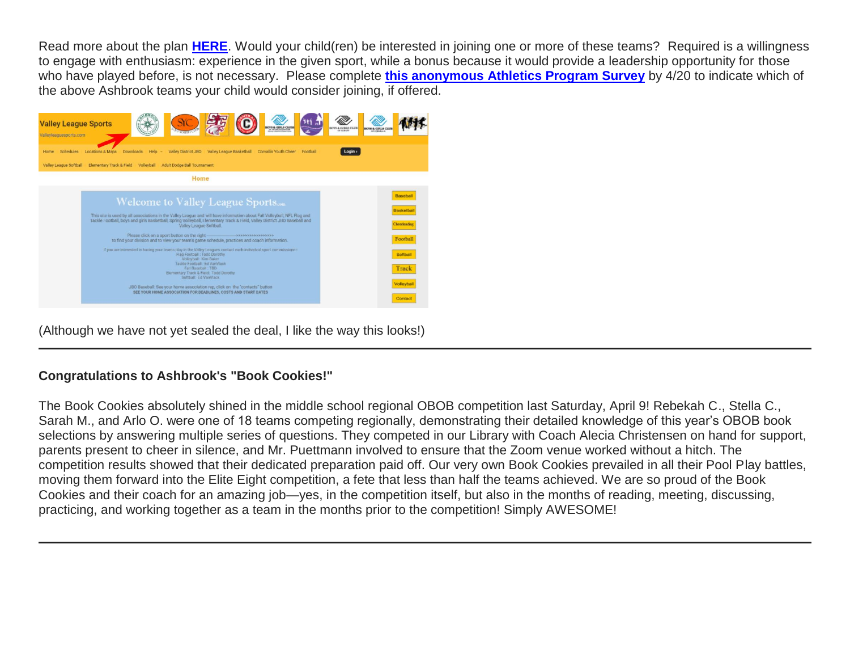Read more about the plan **[HERE](http://link.mystudentsprogress.com/ls/click?upn=VpBe6Z9t6RkEC4qAoQCerkRqVNRJCi4SE2bZPjoSvlwvzj3sRpfPdV5YKBxum81Ts8zGQPz6Sn91PPMO-2FfVoz0VKmTh01JuUYCrPKvF067qMFEtrBkiMMn6uj4JiBN-2FXaJp69CHHIq6flNln-2F2GUqw-3D-3DuCbS_1PndbFfBoQGSZbxwXHHEexw3B2F0fG-2BUmuXm6a-2BX-2BztqU9j2KkomrTCB87tjC-2B3N1w-2BcgUKhw85-2FVCwPT257LreqWpRttCczdTq6dD8GSlhQ-2FIZwP4k-2FTusZlkPbQTe6kp4cSdAh6BWZnLof8-2FIgCZVgLmKc-2FS8116DgOU4pfENl7rpvpUkoPRlsuLjB9f-2BukImT7tzHbKqwESSXqvUMVhKPxWYnvGg1qWgAMoIm0XSJ0LO45DXuxKd7jbIPK7E6RaEWnbqCt9Ox-2FwSJy2Q5mTWn23fnvNjbRxOHNrwRHm3pD5t6igWQIqaqIxHCns-2FRGB6VIAYbVv8t5yxkMdP0pwGhSPm1LH2CW4JE-2BFGwK9C2G8CcQZR0hWO0a4NvVaCsKCrEIk3HmtKjEZJYKnyl0IY7R0Q68wF-2F9RG0OSuq2YAbw-2BAkJizHWaacfFNi1tRq)**. Would your child(ren) be interested in joining one or more of these teams? Required is a willingness to engage with enthusiasm: experience in the given sport, while a bonus because it would provide a leadership opportunity for those who have played before, is not necessary. Please complete **[this anonymous Athletics Program Survey](http://link.mystudentsprogress.com/ls/click?upn=XkPBlp9GNU3xVxREosAX9cVg44lxwzAlg-2FXHX5ciJaD0YPKWpBTSbTzlE0tlpUe7ayqJ_1PndbFfBoQGSZbxwXHHEexw3B2F0fG-2BUmuXm6a-2BX-2BztqU9j2KkomrTCB87tjC-2B3N1w-2BcgUKhw85-2FVCwPT257LmNEuke4abJEXrHwCpbQzfGiO-2F-2BGZQny-2B2biJtKfRx0dS2lA943oeNfSDvr8LsoyGbWrBm6ovgTEodig-2FMDV7Fnsb3keUskdzxct3fxh9X-2F2zky7XOgX5wOPWMy8x6P9Uo8rPjHPQkOXQqn93VU9-2BkvKyc-2BdCmrrkJVY1Iq7rE1bzP-2Fq5lgOlGZxzQy1xOq8xN1W54W8jeRn72acbCYJe0yaIGXUQ14onwKBvPBR-2ByVreahTARgoiFUactLaWs4EDHhiq9oxPmiSlzGt0PX7XcT0mzXdKSESi5kgbY3O4MpNjYoWIToO5MN2UsZbpPJy92-2B1YV46NN2gl-2BTr7qHik8k-2F5a7bsLG1MRgXGq3iOmF-2F)** by 4/20 to indicate which of the above Ashbrook teams your child would consider joining, if offered.



(Although we have not yet sealed the deal, I like the way this looks!)

# **Congratulations to Ashbrook's "Book Cookies!"**

The Book Cookies absolutely shined in the middle school regional OBOB competition last Saturday, April 9! Rebekah C., Stella C., Sarah M., and Arlo O. were one of 18 teams competing regionally, demonstrating their detailed knowledge of this year's OBOB book selections by answering multiple series of questions. They competed in our Library with Coach Alecia Christensen on hand for support, parents present to cheer in silence, and Mr. Puettmann involved to ensure that the Zoom venue worked without a hitch. The competition results showed that their dedicated preparation paid off. Our very own Book Cookies prevailed in all their Pool Play battles, moving them forward into the Elite Eight competition, a fete that less than half the teams achieved. We are so proud of the Book Cookies and their coach for an amazing job—yes, in the competition itself, but also in the months of reading, meeting, discussing, practicing, and working together as a team in the months prior to the competition! Simply AWESOME!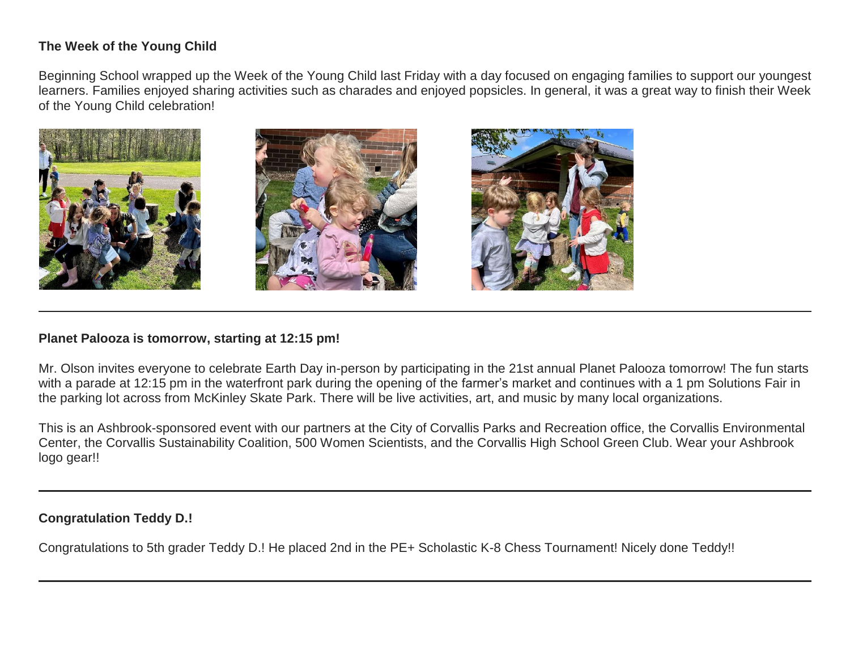# **The Week of the Young Child**

Beginning School wrapped up the Week of the Young Child last Friday with a day focused on engaging families to support our youngest learners. Families enjoyed sharing activities such as charades and enjoyed popsicles. In general, it was a great way to finish their Week of the Young Child celebration!



### **Planet Palooza is tomorrow, starting at 12:15 pm!**

Mr. Olson invites everyone to celebrate Earth Day in-person by participating in the 21st annual Planet Palooza tomorrow! The fun starts with a parade at 12:15 pm in the waterfront park during the opening of the farmer's market and continues with a 1 pm Solutions Fair in the parking lot across from McKinley Skate Park. There will be live activities, art, and music by many local organizations.

This is an Ashbrook-sponsored event with our partners at the City of Corvallis Parks and Recreation office, the Corvallis Environmental Center, the Corvallis Sustainability Coalition, 500 Women Scientists, and the Corvallis High School Green Club. Wear your Ashbrook logo gear!!

# **Congratulation Teddy D.!**

Congratulations to 5th grader Teddy D.! He placed 2nd in the PE+ Scholastic K-8 Chess Tournament! Nicely done Teddy!!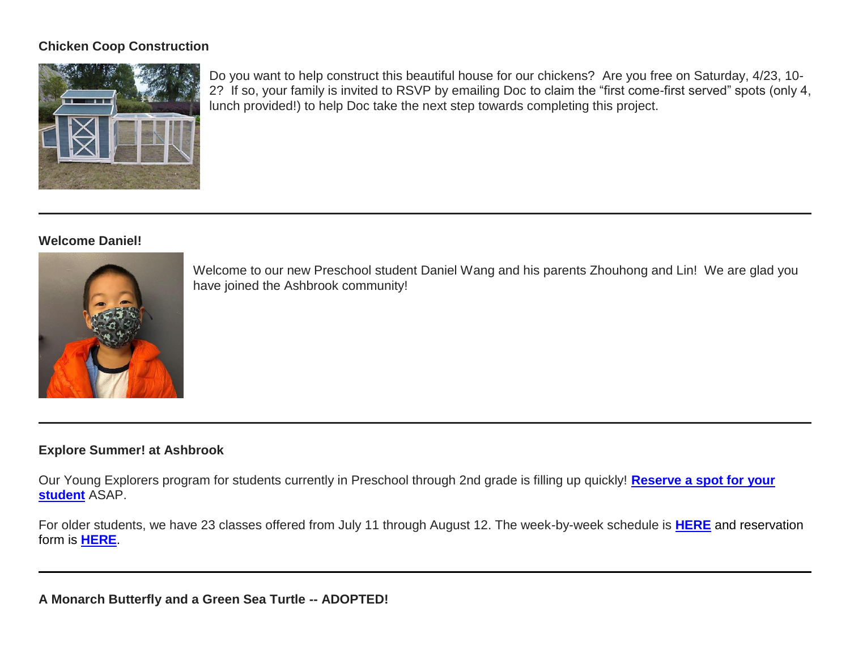# **Chicken Coop Construction**



Do you want to help construct this beautiful house for our chickens? Are you free on Saturday, 4/23, 10- 2? If so, your family is invited to RSVP by emailing Doc to claim the "first come-first served" spots (only 4, lunch provided!) to help Doc take the next step towards completing this project.

### **Welcome Daniel!**



Welcome to our new Preschool student Daniel Wang and his parents Zhouhong and Lin! We are glad you have joined the Ashbrook community!

# **Explore Summer! at Ashbrook**

Our Young Explorers program for students currently in Preschool through 2nd grade is filling up quickly! **[Reserve a spot for your](http://link.mystudentsprogress.com/ls/click?upn=XkPBlp9GNU3xVxREosAX9ZloBmuSz7rYauHLv2bAezXJatPawtKENVoaHu28nHndOWRO_1PndbFfBoQGSZbxwXHHEexw3B2F0fG-2BUmuXm6a-2BX-2BztqU9j2KkomrTCB87tjC-2B3N1w-2BcgUKhw85-2FVCwPT257LrDIDCtV5zAljgPozcyGA5oW6zaUPfYUtlE1EZGXpUcDWxCfvexqsBj0q13btyzRWlMhrE3IwwfPSa6BGGlEmEU1hSk2sEq83DcEUrmFUFiSt29kSjT6kYr-2F5rV1ney5IBJA6DnrR4UJ5eBMXgwKo-2F4zJPOKi2TNZ62AvQjLqwB10mpuZs1IThoPv3k03zsu4SQol0jnZqugmjlgGFeLpaGs19YX50KVoB5cniAz5HQwhvN9nrH-2FcCsXTHKWTYi1TFgQVnS5Ri-2Fil5zu3cuEdaZ2Mr1VD3PifuxOkH3SxJoo2YJhBxgt3GtsN8R0vEJdQxvIg7FBUcLPpqx9ekH3AY6geV7RSGIZMcZ8GXIKujcp)  [student](http://link.mystudentsprogress.com/ls/click?upn=XkPBlp9GNU3xVxREosAX9ZloBmuSz7rYauHLv2bAezXJatPawtKENVoaHu28nHndOWRO_1PndbFfBoQGSZbxwXHHEexw3B2F0fG-2BUmuXm6a-2BX-2BztqU9j2KkomrTCB87tjC-2B3N1w-2BcgUKhw85-2FVCwPT257LrDIDCtV5zAljgPozcyGA5oW6zaUPfYUtlE1EZGXpUcDWxCfvexqsBj0q13btyzRWlMhrE3IwwfPSa6BGGlEmEU1hSk2sEq83DcEUrmFUFiSt29kSjT6kYr-2F5rV1ney5IBJA6DnrR4UJ5eBMXgwKo-2F4zJPOKi2TNZ62AvQjLqwB10mpuZs1IThoPv3k03zsu4SQol0jnZqugmjlgGFeLpaGs19YX50KVoB5cniAz5HQwhvN9nrH-2FcCsXTHKWTYi1TFgQVnS5Ri-2Fil5zu3cuEdaZ2Mr1VD3PifuxOkH3SxJoo2YJhBxgt3GtsN8R0vEJdQxvIg7FBUcLPpqx9ekH3AY6geV7RSGIZMcZ8GXIKujcp)** ASAP.

For older students, we have 23 classes offered from July 11 through August 12. The week-by-week schedule is **[HERE](http://link.mystudentsprogress.com/ls/click?upn=5XDbAd9r0ovG7GZusFBG8PaUF78UqItDelTGdwk7Y5Z6snw4T29-2Bxfvechik02zNNjHskFAbqBwE5Be3mTfInPLSoC-2BecC4phoAA3XU5fdU-3DmvR3_1PndbFfBoQGSZbxwXHHEexw3B2F0fG-2BUmuXm6a-2BX-2BztqU9j2KkomrTCB87tjC-2B3N1w-2BcgUKhw85-2FVCwPT257LrLkkfM1gQxLcSRzPXVo6k7bD3sg3AgCo8SdqnmmrrBhJambA-2BjaIwyeMfmnLRdQFAUCrGxykCSAvEzBgLbGBk9zzXDe7PgjKxOTFhyXkd33hmH-2FVSBSrk9-2FKfRylJlLUVaYsE-2B-2F3mh5CiHx6IcMjdFHGxaZL6YdKmDTytowCspm9h-2FkVuJaw3UszOA6J2J7XTrTq3Sloma-2BjCVsVpWNYPec6sjumJx14bcFBn-2FqhXjtRYvqFRXzyN6rqRLGePkh-2B5IGltUsluSWVv5hwvf7KkreNEwJLQc7FiZHGAGoGeGu0mevDLntB9gsKa1AXK9YxNkzlIflVtUj3d-2BFeHQ0SiIiRZUXzOVxqU3xWb6zN60u)** and reservation form is **[HERE](http://link.mystudentsprogress.com/ls/click?upn=XkPBlp9GNU3xVxREosAX9dladwQASOh5udy7m-2FJLcqEsmMBjqEfnwC5eYHIt7vuGhQI4_1PndbFfBoQGSZbxwXHHEexw3B2F0fG-2BUmuXm6a-2BX-2BztqU9j2KkomrTCB87tjC-2B3N1w-2BcgUKhw85-2FVCwPT257LoGpNURNImZ0ntgoyfWH3mDQlgcNa8SoX6ql-2FzilM9QDkmUio3iGf-2BcX8VgmGj4b6tgX2lnQim7WqQAeKvJCHq85xDC991-2FKz9uhllO1OHUOhhqgPt-2BAsdp4cuncyPUbrN9dGEOCKpC2VzTYTlnFDzdR7NX-2FUlw1qqzEvjX7I30Dyu6fkp0ETD8Pk00557T0vBFkU-2Fsvi49H8kapVKZwGmAYJR4T1f9wdhiA7sIN1x1-2B5-2FU68M4-2FETab0JyyZq4OOZsfzws-2Fx5gYr6tbeKBSDgK-2BkZ0H2yEV38AKu9mgTawfFq8lOEAjZEqO9313D8VRXZa94WD-2B818RHLvnRGuyl7Z6wmvbhvSJttBLIEtcHLuf)**.

**A Monarch Butterfly and a Green Sea Turtle -- ADOPTED!**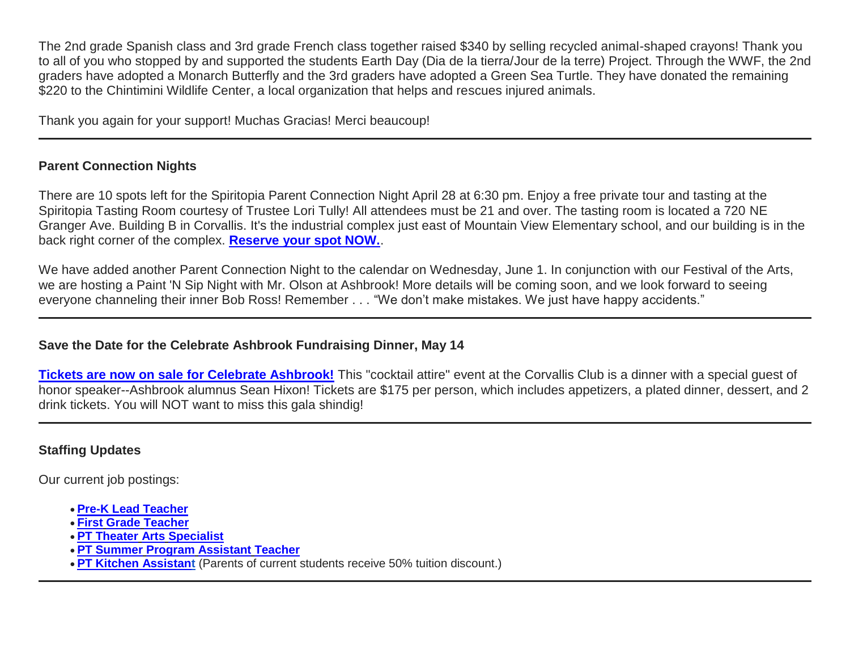The 2nd grade Spanish class and 3rd grade French class together raised \$340 by selling recycled animal-shaped crayons! Thank you to all of you who stopped by and supported the students Earth Day (Dia de la tierra/Jour de la terre) Project. Through the WWF, the 2nd graders have adopted a Monarch Butterfly and the 3rd graders have adopted a Green Sea Turtle. They have donated the remaining \$220 to the Chintimini Wildlife Center, a local organization that helps and rescues injured animals.

Thank you again for your support! Muchas Gracias! Merci beaucoup!

# **Parent Connection Nights**

There are 10 spots left for the Spiritopia Parent Connection Night April 28 at 6:30 pm. Enjoy a free private tour and tasting at the Spiritopia Tasting Room courtesy of Trustee Lori Tully! All attendees must be 21 and over. The tasting room is located a 720 NE Granger Ave. Building B in Corvallis. It's the industrial complex just east of Mountain View Elementary school, and our building is in the back right corner of the complex. **[Reserve your spot NOW.](http://link.mystudentsprogress.com/ls/click?upn=XkPBlp9GNU3xVxREosAX9RZAVhyPUO6e5P4-2FgMDjfRMzPbM0eUGyroihoXApkr0GTjZa_1PndbFfBoQGSZbxwXHHEexw3B2F0fG-2BUmuXm6a-2BX-2BztqU9j2KkomrTCB87tjC-2B3N1w-2BcgUKhw85-2FVCwPT257LuMucW8KcBWZ3XUlC-2FYHeG34shBHJLd8ks-2BS0nrKzx9QDbHRpMXVyuEsDu2NNJy4VTLTrV-2Bp3ciXwUNeQzCxQWLC9Zvd85t-2B367H5euvFMvB7cs2gHsC0A2a-2Bz-2FcbBggT4EHwE5Zi5g-2BKrOO1J9UOyoAbpXLpTNTLFP3yucAM8dnBFV73QWrS-2F8nX-2FnTNBkkHF4vcIEa0y8VucmLvTlP9eZMHofDQLtI4-2FYk4Idip-2Bxdij7SuN9oS5zHyT-2BPgtqFWqPhuHcXZMjwWY87IR-2BsIcF8Ob8l2LHTSdIkCao6TpQvg2RJytYZIQw-2Fv3RRpiZcTp8uJt-2B63bGvuiBzYOhSYi9BVoBiHmU0itYUE-2F2h0ZRd)**.

We have added another Parent Connection Night to the calendar on Wednesday, June 1. In conjunction with our Festival of the Arts, we are hosting a Paint 'N Sip Night with Mr. Olson at Ashbrook! More details will be coming soon, and we look forward to seeing everyone channeling their inner Bob Ross! Remember . . . "We don't make mistakes. We just have happy accidents."

# **Save the Date for the Celebrate Ashbrook Fundraising Dinner, May 14**

**[Tickets are now on sale for Celebrate Ashbrook!](http://link.mystudentsprogress.com/ls/click?upn=XkPBlp9GNU3xVxREosAX9RBQ7UtUh7XLvYiLVq3sgEUoPg4dIsBKMU8fuaYpOjKGVFR-2FDSH3KGmNl2UrqBAv0HDE-2BZTyfNU9bYwm-2FN-2BwoAE-3Dq2yp_1PndbFfBoQGSZbxwXHHEexw3B2F0fG-2BUmuXm6a-2BX-2BztqU9j2KkomrTCB87tjC-2B3N1w-2BcgUKhw85-2FVCwPT257LnfJdrOGQAWn-2FLnYAfg5-2Bwd9BhIDuaMTZ-2BA9d9kRr3v-2BLYxr6ZhCJntFmK46xKQcIQLLP5WJ3-2F3SRedhSq748soyI91OFjiWuKGP0a7eKsZwK7tDQWq8FfJe0EjhsZ1A6xm1jTVwUL3hU0XhqEpoCvuWQSaQJ-2Bu8WrBrQoCgpRsAAd-2B3vWbIQ9sOisE2WsQahLxMBJ-2B0DgK68QUJK5PAvb-2FNJK92Et1H5VlUkBUb6X9VOTKz-2FDFcxxev-2FKCbuDuwnWMAKEHXmWJDTaBWn6wb-2FJ8tAXCTpzQjItcFNimPCGcjsLm1fme6DfyiDsNnyRZLYzVUHz2Nv7RwbpJ6nyyzUmJ0us2esimfzj2BL7MIpSAI)** This "cocktail attire" event at the Corvallis Club is a dinner with a special guest of honor speaker--Ashbrook alumnus Sean Hixon! Tickets are \$175 per person, which includes appetizers, a plated dinner, dessert, and 2 drink tickets. You will NOT want to miss this gala shindig!

# **Staffing Updates**

Our current job postings:

- **[Pre-K Lead Teacher](http://link.mystudentsprogress.com/ls/click?upn=flJ18ETPhCbNgmfSZO-2FamzYtOTBVcI9OPqDnIkqnt5Qmq6a4rOASMgt1ALGncL3o-2BSfhJOlVpRRYdjXDDaDjUQ-3D-3D43RJ_1PndbFfBoQGSZbxwXHHEexw3B2F0fG-2BUmuXm6a-2BX-2BztqU9j2KkomrTCB87tjC-2B3N1w-2BcgUKhw85-2FVCwPT257LqfZQCnx2UIwVmWxji-2FX2zRGZwUsSrs5aNoLUl8blrzwRvNBgdwiG3mAAnemO8TNhJJhGrY742Fdp-2BZ69CTRJkwKdCVwPvF3BTU5qc7NVpyUhmxt07k2YchPSkhmCgEB5966Vn-2BeaIq0JzskkUIOX-2BJB-2BT9EWqebEl2X0LpeB0hHaG4bG-2B0SfrdSsGfqgvTLEqPtEEQbrvIM4oKt4O-2FHcT-2BG4SAiKYamivcGQTGnixFZQQGg7E1TPtXrnLgDWf-2BHQ4vDp1dkt86z-2FWODIUmwTsNDm-2Bvul31iI8EaFOfyE3c-2Fe0FD81H3GaLsx3w-2BomH1XFew85x-2FvMH8qbRDeV1wVzgkqxbMTibuQuPexWYsQNQC)**
- **First Grade [Teacher](http://link.mystudentsprogress.com/ls/click?upn=flJ18ETPhCbNgmfSZO-2FamzYtOTBVcI9OPqDnIkqnt5Qmq6a4rOASMgt1ALGncL3otbxa1MDLbNrQl3ChqJI2RQ-3D-3DNIOv_1PndbFfBoQGSZbxwXHHEexw3B2F0fG-2BUmuXm6a-2BX-2BztqU9j2KkomrTCB87tjC-2B3N1w-2BcgUKhw85-2FVCwPT257LkUk9D1TYPGQe5-2BIvVWTqJz1cq8J30Mo2OYYGhoSXL-2FStuULJqQAoN3LEBAtg3SDo-2Bxo4iVLGZ94j-2Fj975swQQpLZt7bSVfiRpkxSB0cyZJVkblgm-2BXzqeOojmZYN7GvAzjH-2BssewVma08y7FTxQ9HJF-2FBmRLk3nhsdDwLD5YpPyS1l7VUinleCf-2B9DNhVfxnsNAuSi-2BPObBeKpvRuGi3b2o03C5LKhpToxU2-2BnmrXg8qZMcD3IIyfPesZxgQ9PT08K3p-2FY4lY89-2BRM5qkoMt1I7wZ6hopO97US8bWZX0f0Ri0b5EUX-2B0u9UvlvyuH6had3g5bU3Gr-2BUW-2Bco-2BXZEgQXHhrOKAmkQMWxT9pHMF1K-2B)**
- **[PT Theater](http://link.mystudentsprogress.com/ls/click?upn=flJ18ETPhCbNgmfSZO-2FamzYtOTBVcI9OPqDnIkqnt5Qmq6a4rOASMgt1ALGncL3oz7LQmF5oMWSMYrnzALmVXg-3D-3DCywx_1PndbFfBoQGSZbxwXHHEexw3B2F0fG-2BUmuXm6a-2BX-2BztqU9j2KkomrTCB87tjC-2B3N1w-2BcgUKhw85-2FVCwPT257LmrZkGs8K9oHn5fhxY9A3rsI4B5ky2yI80YMqpis-2FyJNrvRhoUsAIqPWKHKbXRegf8-2Fo6hDwNznznF5VhL7xjjmwDlvSD0tnmw82pMDG8H9MC67ekxhhsTxBemnjnZo79E0AEIfE8n09ryAtuYY72Kr2ttvfyl3TXSIHt5gptAlSraZTZe34hJuGVjEs29duXV-2FDv6cK7-2Fznv7b9Yf7tvnETV02tXZi1f5IrgHrhVH25-2BmiaAJMdnWttMcQcCZ-2FtLKm-2F7X0DBagZ96m-2BsmT0sS97vxTOT-2BSQuIRM0jK53BCztoeEN-2FuLQUX4g1HCAXfDRrTBTHy1-2BRWqKDxvUIsZcklx7PfDzocppSV6fkXfy2ZY) Arts Specialist**
- **[PT Summer](http://link.mystudentsprogress.com/ls/click?upn=flJ18ETPhCbNgmfSZO-2FamzYtOTBVcI9OPqDnIkqnt5Qmq6a4rOASMgt1ALGncL3oadflgrTWmU2BE-2FAco-2BFRdQ-3D-3DRg66_1PndbFfBoQGSZbxwXHHEexw3B2F0fG-2BUmuXm6a-2BX-2BztqU9j2KkomrTCB87tjC-2B3N1w-2BcgUKhw85-2FVCwPT257Ll60SMhSet48ncBRgdbISqyd3MpnZbFZGl3j60AMiQoTOHqpgXjo-2Bj4Ml4QA3EB-2Fpj1FFU1lF7sWPPSB-2Fb9KITt6CVEYLSgPdUntNjvcpr8jLdA1H00MdZhKnqn-2FvH4CogiDPApSnYtOjERieRacahCMRUOqPkX-2FyqJ4YSMgWjKVWINha39O5BXW5RZKaEHkQFdZPlVVgRDmHCul9IpOHgF2dBPtVzv14qpjMXSEXyKwbGoAdyXgYFHgIldJcMwFw5mSrnG5lJNWetWtd9eLVFjhgDzsDY9KkCjBUe4IWe1t7ZBJ7AF6-2BcEyoZ-2FzbP1ynYyzWpOE4N8HO8TbN0JOjfoXpcj7zvv0dIEr2DBbGP-2Fc) Program Assistant Teacher**
- **[PT Kitchen Assistant](http://link.mystudentsprogress.com/ls/click?upn=flJ18ETPhCbNgmfSZO-2FamzYtOTBVcI9OPqDnIkqnt5Qmq6a4rOASMgt1ALGncL3oOpSIKt7kSMJ72kKajhl-2FZw-3D-3Dlxke_1PndbFfBoQGSZbxwXHHEexw3B2F0fG-2BUmuXm6a-2BX-2BztqU9j2KkomrTCB87tjC-2B3N1w-2BcgUKhw85-2FVCwPT257LjhP5ZWY-2FCJH9DzeuFYES0BGV47ELUQFFu5RYygNBi1ZmwqwDliuqhTD7YSErNF1Yy0I5nYSv7f5qJiU7m1AkOksvUCq2Py87VieCXK5Eb6oC3X8dnIADlfNhqKTkXHbNwQRvLOfpEdes5juXQCpXK718AyuqYWSTTXxRgVVDYCCnUX9WKRGhnMqQdZyi8SxROMZ8s7T1e9IniODGXKxwtSR2FiDHiq1-2FGinX2vHSYvM8O70bcTDoRytw48uGLvLE-2BOadlNVVBeXGIcVYPHbmtBqEwt4LSivXzlHA9tJjtqeRkP4Iqv0cwi4bX6fnL9bAFJFLM9f-2Bxv8SU6ekZNU09LAeGDFJADMhdgYEIDUdohw)** (Parents of current students receive 50% tuition discount.)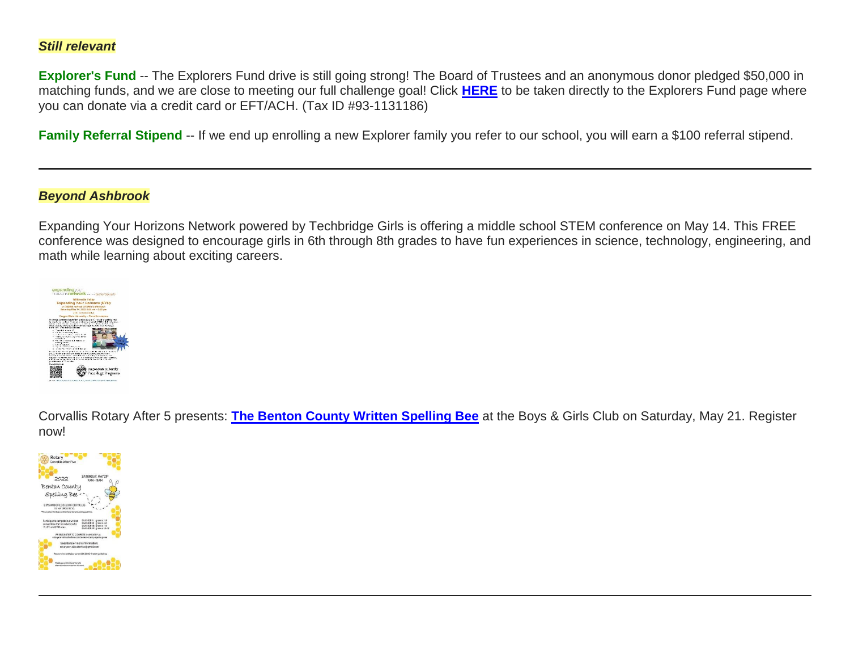## *Still relevant*

**Explorer's Fund** -- The Explorers Fund drive is still going strong! The Board of Trustees and an anonymous donor pledged \$50,000 in matching funds, and we are close to meeting our full challenge goal! Click **[HERE](http://link.mystudentsprogress.com/ls/click?upn=5XDbAd9r0ovG7GZusFBG8PaUF78UqItDelTGdwk7Y5YuTzHCPAjU3puEFCesf3czmLI6pjYvXrYopLnNSPnw-2Fg-3D-3DRSI5_1PndbFfBoQGSZbxwXHHEexw3B2F0fG-2BUmuXm6a-2BX-2BztqU9j2KkomrTCB87tjC-2B3N1w-2BcgUKhw85-2FVCwPT257Lg83ZqAa3gDCppKtzhTn1kzTIXOLlJEN-2BG4GGmqPh8JE5IAAwyWNJmSnb2ZTdQaoCM-2Bthb6MmNGl1mVVH8RTAZQwcbXAD1Dtn-2FdTHSHe8v52KLt4JKlAP4e-2BJQyYwvDfD1QmpRbHxQeCGlygSH-2BdN9Vi-2Bc5jxcTYP5N0pPB3bPjRv-2FwTxFrbuMnX5WRMAlotO-2BFL1a3n9kpBerDAGn1ZlSCMxHHIiy80Cvmv09qXoP7dXL-2B6roNrrV1bxS59pFDfewyOYNCWK9oydp58VL1ztxSK0ClhN9wsvqlLa0zpSBsC47taBIWMCK51uRmVmZqwCO96x6iiNG2eHGWqc3r2QpOuwEIPrPwIRQRnh-2FD1lNnA)** to be taken directly to the Explorers Fund page where you can donate via a credit card or EFT/ACH. (Tax ID #93-1131186)

Family Referral Stipend -- If we end up enrolling a new Explorer family you refer to our school, you will earn a \$100 referral stipend.

### *Beyond Ashbrook*

Expanding Your Horizons Network powered by Techbridge Girls is offering a middle school STEM conference on May 14. This FREE conference was designed to encourage girls in 6th through 8th grades to have fun experiences in science, technology, engineering, and math while learning about exciting careers.



Corvallis Rotary After 5 presents: **[The Benton County Written Spelling Bee](http://link.mystudentsprogress.com/ls/click?upn=5XDbAd9r0ovG7GZusFBG8KANV1xKV0ckgMCHK283YOL1D7W8auhI57MonaXFTRw1yJUEFqUYEHFvL5551T3LZfNHS8y9HBrKN0zFEUq2fYU-3DdhYy_1PndbFfBoQGSZbxwXHHEexw3B2F0fG-2BUmuXm6a-2BX-2BztqU9j2KkomrTCB87tjC-2B3N1w-2BcgUKhw85-2FVCwPT257LojxK9KWPzftpc31vXCI63LAu-2Bun58WIWAn-2BSKGCwEtEuOw8h5QOoBtbx19kQQkK8VKev8CsAV5KUMa-2FGKeviqrt8-2BEbNmXTT4stHdnaHhVny4EkHXeRksNqkY2btK5yMSJz7xHYLXPMBWFABtJghLwU-2BGYIFG6lWIp6HTO6zdqcHuWTggEMsSJr4jaLhYqf18FwibmYRpGfwUY6qjx9dsDr6ohAhfPMMtyN5bIi7VvLE2VlUevIkkrPht-2B1E-2FBhYeWOBEOx9TcImdPJQwsqeNdizkJdYtqiJQWwyZ-2BqiIZqq3nrn0xXE-2Bc5Xkr1B7Fgy40mBr8RzxNl5PWvangVwC0ZggVDniZA0xr39gy-2BnOLF)** at the Boys & Girls Club on Saturday, May 21. Register now!